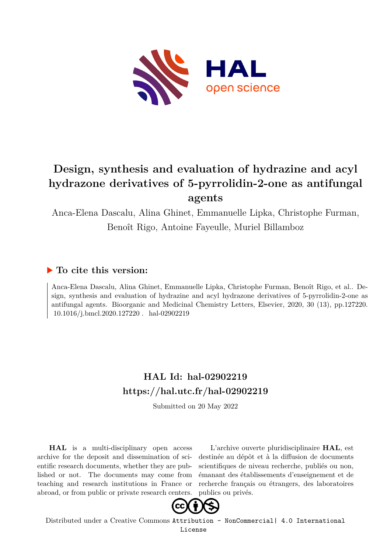

# **Design, synthesis and evaluation of hydrazine and acyl hydrazone derivatives of 5-pyrrolidin-2-one as antifungal agents**

Anca-Elena Dascalu, Alina Ghinet, Emmanuelle Lipka, Christophe Furman, Benoît Rigo, Antoine Fayeulle, Muriel Billamboz

## **To cite this version:**

Anca-Elena Dascalu, Alina Ghinet, Emmanuelle Lipka, Christophe Furman, Benoît Rigo, et al.. Design, synthesis and evaluation of hydrazine and acyl hydrazone derivatives of 5-pyrrolidin-2-one as antifungal agents. Bioorganic and Medicinal Chemistry Letters, Elsevier, 2020, 30 (13), pp.127220.  $10.1016$ /j.bmcl.2020.127220  $.$ hal-02902219

# **HAL Id: hal-02902219 <https://hal.utc.fr/hal-02902219>**

Submitted on 20 May 2022

**HAL** is a multi-disciplinary open access archive for the deposit and dissemination of scientific research documents, whether they are published or not. The documents may come from teaching and research institutions in France or abroad, or from public or private research centers.

L'archive ouverte pluridisciplinaire **HAL**, est destinée au dépôt et à la diffusion de documents scientifiques de niveau recherche, publiés ou non, émanant des établissements d'enseignement et de recherche français ou étrangers, des laboratoires publics ou privés.



Distributed under a Creative Commons [Attribution - NonCommercial| 4.0 International](http://creativecommons.org/licenses/by-nc/4.0/) [License](http://creativecommons.org/licenses/by-nc/4.0/)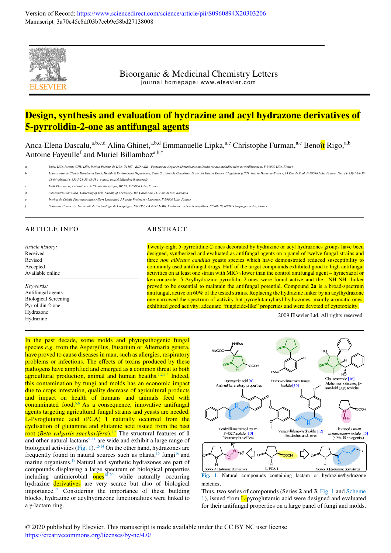

Bioorganic & Medicinal Chemistry Letters journal homepage: www.elsevier.com

## **Design, synthesis and evaluation of hydrazine and acyl hydrazone derivatives of 5-pyrrolidin-2-one as antifungal agents**

Anca-Elena Dascalu,<sup>a,b,c,d</sup> Alina Ghinet,<sup>a,b,d</sup> Emmanuelle Lipka,<sup>a,c</sup> Christophe Furman,<sup>a,e</sup> Benoît Rigo,<sup>a,b</sup> Antoine Fayeulle<sup>f</sup> and Muriel Billamboz<sup>a,b,\*</sup>

*a Univ. Lille, Inserm, CHU Lille, Institut Pasteur de Lille, U1167 - RID-AGE - Facteurs de risque et déterminants moléculaires des maladies liées au vieillissement, F-59000 Lille, France* 

- .<br>Tratoire de Chimie Durable et Santé, Health & Environment Department, Team Sustainable Chemistry, Ecole des Hautes Etudes d'Ingénieur (HEI), Yncréa Hauts-de-France, 13 Rue de Toul, F-59046 Lille, France. Fax: (+ 33)-3-28 *48-04; phone:(+ 33)-3-28-38-48-58 ; e-mail: muriel.billamboz@yncrea.fr*
- *c UFR Pharmacie, Laboratoire de Chimie Analytique, BP 83, F-59006 Lille, France*
- *d 'Alexandru Ioan Cuza' University of Iasi, Faculty of Chemistry, Bd. Carol I nr. 11, 700506 Iasi, Romania*
- *e Institut de Chimie Pharmaceutique Albert Lespagnol, 3 Rue du Professeur Laguesse, F-59000 Lille, France*
- *f Sorbonne University, Université de Technologie de Compiègne, ESCOM, EA 4297 TIMR, Centre de recherche Royallieu, CS 60319, 60203 Compiègne cedex, France*

## ARTICLE INFO ABSTRACT

*Article history:* Received Revised Accepted Available online

*Keywords:* Antifungal agents Biological Screening Pyrrolidin-2-one Hydrazone Hydrazine

Twenty-eight 5-pyrrolidine-2-ones decorated by hydrazine or acyl hydrazones groups have been designed, synthesized and evaluated as antifungal agents on a panel of twelve fungal strains and three *non albicans candida* yeasts species which have demonstrated reduced susceptibility to commonly used antifungal drugs. Half of the target compounds exhibited good to high antifungal activities on at least one strain with  $MIC<sub>50</sub>$  lower than the control antifungal agent – hymexazol or ketoconazole. 5-Arylhydrazino-pyrrolidin-2-ones were found active and the –NH-NH- linker proved to be essential to maintain the antifungal potential. Compound **2a** is a broad-spectrum antifungal, active on 60% of the tested strains. Replacing the hydrazine linker by an acylhydrazone one narrowed the spectrum of activity but pyroglutamylaryl hydrazones, mainly aromatic ones, exhibited good activity, adequate "fungicide-like" properties and were devoted of cytotoxicity.

2009 Elsevier Ltd. All rights reserved.

In the past decade, some molds and phytopathogenic fungal species *e.g.* from the Aspergillus, Fusarium or Alternaria genera, have proved to cause diseases in man, such as allergies, respiratory problems or infections. The effects of toxins produced by these pathogens have amplified and emerged as a common threat to both agricultural production, animal and human healths.<sup>1,2,3,4</sup> Indeed, this contamination by fungi and molds has an economic impact due to crops infestation, quality decrease of agricultural products and impact on health of humans and animals feed with contaminated food.<sup>5,6</sup> As a consequence, innovative antifungal agents targeting agricultural fungal strains and yeasts are needed. L-Pyroglutamic acid (PGA) **1** naturally occurred from the cyclisation of glutamine and glutamic acid issued from the beet root (*Beta vulgaris saccharifera*).<sup>7,8</sup> The structural features of 1 and other natural lactams $9-11$  are wide and exhibit a large range of biological activities (Fig. 1).<sup>12-14</sup> On the other hand, hydrazones are frequently found in natural sources such as plants, $15 \text{ fungi}^{16}$  and marine organisms.<sup>17</sup> Natural and synthetic hydrazones are part of compounds displaying a large spectrum of biological properties including antimicrobial  $\overline{\text{ones}}^{18-20}$  while naturally occurring hydrazine derivatives are very scarce but also of biological importance.<sup>21</sup> Considering the importance of these building blocks, hydrazine or acylhydrazone functionalities were linked to a γ-lactam ring.



**Fig. 1**. Natural compounds containing lactam or hydrazine/hydrazone moieties.

Thus, two series of compounds (Series **2** and **3**, Fig. 1 and Scheme 1), issued from  $L$ -pyroglutamic acid were designed and evaluated for their antifungal properties on a large panel of fungi and molds.

© 2020 published by Elsevier. This manuscript is made available under the CC BY NC user license <https://creativecommons.org/licenses/by-nc/4.0/>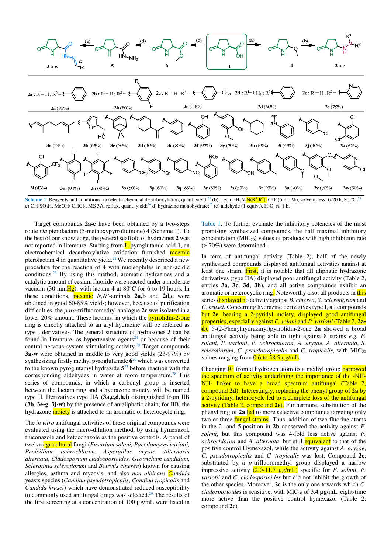

**Scheme 1.** Reagents and conditions: (a) electrochemical decarboxylation, quant. yield;<sup>22</sup> (b) 1 eq of  $H_2N$ - $N(R^1,R^2)$ , CsF (5 mol%), solvent-less, 6-20 h, 80 °C;<sup>23</sup> c) CH<sub>3</sub>SO<sub>3</sub>H, MeOH/ CHCl<sub>3</sub>, MS 3Å, reflux, quant. yield;<sup>26</sup> d) hydrazine monohydrate;<sup>27</sup> (e) aldehyde (1 equiv.), H<sub>2</sub>O, rt, 1 h.

Target compounds **2a-e** have been obtained by a two-steps route *via* pterolactam (5-methoxypyrrolidinone) **4** (Scheme 1). To the best of our knowledge, the general scaffold of hydrazines **2** was not reported in literature. Starting from L-pyroglutamic acid **1**, an electrochemical decarboxylative oxidation furnished racemic pterolactam  $4$  in quantitative yield.<sup>22</sup> We recently described a new procedure for the reaction of **4** with nucleophiles in non-acidic conditions.<sup>23</sup> By using this method, aromatic hydrazines and a catalytic amount of cesium fluoride were reacted under a moderate vacuum (30 mmHg), with lactam **4** at 80°C for 6 to 19 hours. In these conditions, racemic *N,N'*-aminals **2a,b** and **2d,e** were obtained in good 60-85% yields; however, because of purification difficulties, the *para*-trifluoromethyl analogue **2c** was isolated in a lower 20% amount. These lactams, in which the **pyrrolidin-2-one** ring is directly attached to an aryl hydrazine will be referred as type I derivatives. The general structure of hydrazones **3** can be found in literature, as hypertensive agents $24$  or because of their central nervous system stimulating activity.<sup>25</sup> Target compounds **3a-w** were obtained in middle to very good yields (23-97%) by synthesizing firstly methyl pyroglutamate **6** <sup>26</sup> which was converted to the known pyroglutamyl hydrazide **5** <sup>27</sup> before reaction with the corresponding aldehydes in water at room temperature.<sup>28</sup> This series of compounds, in which a carbonyl group is inserted between the lactam ring and a hydrazone moiety, will be named type II. Derivatives type IIA (**3a,c,d,h,i**) distinguished from IIB (**3b**, **3e-g**, **3j-w**) by the presence of an aliphatic chain; for IIB, the hydrazone **moiety** is attached to an aromatic or heterocycle ring.

The *in vitro* antifungal activities of these original compounds were evaluated using the micro-dilution method, by using hymexazol, fluconazole and ketoconazole as the positive controls. A panel of twelve agricultural fungi (*Fusarium solani, Paecilomyces variotii, Penicillium ochrochloron*, *Aspergillus oryzae, Alternaria alternata*, *Cladosporium cladosporioides, Geotrichum candidum, Sclerotinia sclerotiorum* and *Botrytis cinerea*) known for causing allergies, asthma and mycosis, and also *non albicans Candida* yeasts species (*Candida pseudotropicalis*, *Candida tropicalis* and *Candida krusei*) which have demonstrated reduced susceptibility to commonly used antifungal drugs was selected.<sup>29</sup> The results of the first screening at a concentration of 100 µg/mL were listed in

Table 1. To further evaluate the inhibitory potencies of the most promising synthesized compounds, the half maximal inhibitory concentration  $(MIC_{50})$  values of products with high inhibition rate (> 70%) were determined.

In term of antifungal activity (Table 2), half of the newly synthesized compounds displayed antifungal activities against at least one strain. First, it is notable that all aliphatic hydrazone derivatives (type IIA) displayed poor antifungal activity (Table 2, entries **3a**, **3c**, **3d**, **3h**), and all active compounds exhibit an aromatic or heterocyclic ring. Noteworthy also, all products in this series displayed no activity against *B. cinerea*, *S. sclerotiorum* and *C. krusei.* Concerning hydrazine derivatives type I, all compounds but **2e**, bearing a 2-pyridyl moiety, displayed good antifungal properties, especially against *F. solani* and *P. variotii* (Table 2, **2ad**). 5-(2-Phenylhydrazinyl)pyrrolidin-2-one **2a** showed a broad antifungal activity being able to fight against 8 strains *e.g. F. solani*, *P. variotii*, *P. ochrochloron*, *A. oryzae*, *A. alternata*, *S. sclerotiorum, C. pseudotropicalis* and *C. tropicalis*, with MIC<sub>50</sub> values ranging from  $0.6$  to 58.5  $\mu$ g/mL.

Changing  $\mathbb{R}^1$  from a hydrogen atom to a methyl group narrowed the spectrum of activity underlining the importance of the -NH-NH- linker to have a broad spectrum antifungal (Table 2, compound **2d**). Interestingly, replacing the phenyl group of **2a** by a 2-pyridinyl heterocycle led to a complete loss of the antifungal activity (Table 2, compound **2e**). Furthermore, substitution of the phenyl ring of **2a** led to more selective compounds targeting only two or three **fungal strains**. Thus, addition of two fluorine atoms in the 2- and 5-position in **2b** conserved the activity against *F. solani*, but this compound was 4-fold less active against *P. ochrochloron* and *A. alternata*, but still **equivalent** to that of the positive control Hymexazol, while the activity against *A. oryzae*, *C. pseudotropicalis* and *C. tropicalis* was lost. Compound **2c**, substituted by a *p*-trifluoromethyl group displayed a narrow impressive activity (2.0-11.7 µg/mL) specific for *F. solani*, *P. variotii* and *C. cladosporioides* but did not inhibit the growth of the other species. Moreover, **2c** is the only one towards which *C. cladosporioides* is sensitive, with MIC<sub>50</sub> of 3.4 µg/mL, eight-time more active than the positive control hymexazol (Table 2, compound **2c**).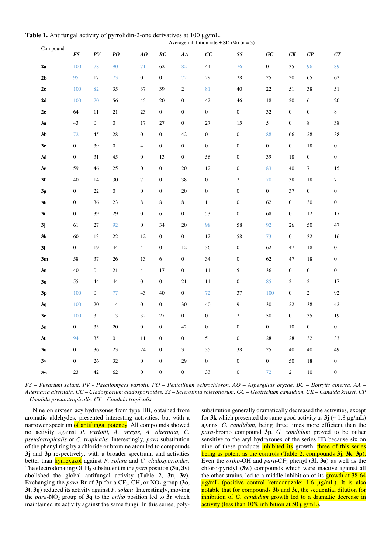**Table 1.** Antifungal activity of pyrrolidin-2-one derivatives at 100 μg/mL.

|                | Average inhibition rate $\pm$ SD (%) (n = 3) |                  |                  |                  |                  |                  |                  |                  |                  |                  |                  |                  |
|----------------|----------------------------------------------|------------------|------------------|------------------|------------------|------------------|------------------|------------------|------------------|------------------|------------------|------------------|
| Compound       | $\boldsymbol{FS}$                            | PV               | $\overline{PO}$  | AO               | BC               | AA               | $\overline{cc}$  | SS               | G C              | CK               | $\overline{CP}$  | CT               |
| 2a             | 100                                          | 78               | 90               | 71               | 62               | 82               | 44               | 76               | $\boldsymbol{0}$ | 35               | 96               | 89               |
| 2 <sub>b</sub> | 95                                           | 17               | 73               | $\boldsymbol{0}$ | $\mathbf{0}$     | 72               | 29               | 28               | $25\,$           | $20\,$           | 65               | 62               |
| 2c             | 100                                          | 82               | 35               | 37               | 39               | $\sqrt{2}$       | 81               | 40               | $22\,$           | 51               | 38               | 51               |
| 2d             | 100                                          | 70               | 56               | 45               | 20               | $\boldsymbol{0}$ | 42               | 46               | 18               | 20               | 61               | 20               |
| 2e             | 64                                           | 11               | 21               | 23               | $\mathbf{0}$     | $\boldsymbol{0}$ | $\boldsymbol{0}$ | $\boldsymbol{0}$ | 32               | $\boldsymbol{0}$ | $\boldsymbol{0}$ | 8                |
| 3a             | 43                                           | $\boldsymbol{0}$ | $\boldsymbol{0}$ | 17               | 27               | $\boldsymbol{0}$ | 27               | 15               | 5                | $\boldsymbol{0}$ | $\,8\,$          | 38               |
| 3 <sub>b</sub> | $72\,$                                       | 45               | $28\,$           | $\boldsymbol{0}$ | $\mathbf{0}$     | 42               | $\boldsymbol{0}$ | $\boldsymbol{0}$ | 88               | 66               | 28               | 38               |
| 3c             | $\boldsymbol{0}$                             | 39               | $\mathbf{0}$     | $\overline{4}$   | $\boldsymbol{0}$ | $\boldsymbol{0}$ | $\boldsymbol{0}$ | $\boldsymbol{0}$ | $\boldsymbol{0}$ | $\boldsymbol{0}$ | 18               | $\boldsymbol{0}$ |
| 3d             | $\boldsymbol{0}$                             | 31               | 45               | $\boldsymbol{0}$ | 13               | $\boldsymbol{0}$ | 56               | $\boldsymbol{0}$ | 39               | 18               | $\boldsymbol{0}$ | $\boldsymbol{0}$ |
| 3e             | 59                                           | 46               | 25               | $\boldsymbol{0}$ | $\boldsymbol{0}$ | $20\,$           | $12\,$           | $\boldsymbol{0}$ | 83               | 40               | $\boldsymbol{7}$ | 15               |
| 3f             | 40                                           | 14               | 30               | $\boldsymbol{7}$ | $\boldsymbol{0}$ | 38               | $\boldsymbol{0}$ | 21               | 70               | 38               | 18               | $\boldsymbol{7}$ |
| $3g$           | $\boldsymbol{0}$                             | 22               | $\boldsymbol{0}$ | $\boldsymbol{0}$ | $\boldsymbol{0}$ | 20               | $\boldsymbol{0}$ | $\boldsymbol{0}$ | $\boldsymbol{0}$ | 37               | $\boldsymbol{0}$ | $\boldsymbol{0}$ |
| 3 <sub>h</sub> | $\boldsymbol{0}$                             | 36               | 23               | $\,$ 8 $\,$      | $\,$ 8 $\,$      | $\,8\,$          | $\mathbf{1}$     | $\boldsymbol{0}$ | 62               | $\boldsymbol{0}$ | 30               | $\boldsymbol{0}$ |
| 3i             | $\boldsymbol{0}$                             | 39               | 29               | $\boldsymbol{0}$ | 6                | $\boldsymbol{0}$ | 53               | $\boldsymbol{0}$ | 68               | $\boldsymbol{0}$ | 12               | 17               |
| 3j             | 61                                           | 27               | 92               | $\boldsymbol{0}$ | 34               | 20               | 98               | 58               | 92               | 26               | 50               | 47               |
| 3k             | 60                                           | 13               | 22               | 12               | $\boldsymbol{0}$ | $\boldsymbol{0}$ | 12               | 58               | 73               | $\boldsymbol{0}$ | 32               | 16               |
| 3 <sub>l</sub> | $\boldsymbol{0}$                             | 19               | 44               | $\overline{4}$   | $\boldsymbol{0}$ | 12               | 36               | $\boldsymbol{0}$ | 62               | 47               | 18               | $\boldsymbol{0}$ |
| 3m             | 58                                           | 37               | 26               | 13               | 6                | $\boldsymbol{0}$ | 34               | $\boldsymbol{0}$ | 62               | 47               | 18               | $\boldsymbol{0}$ |
| 3n             | 40                                           | $\overline{0}$   | 21               | $\overline{4}$   | 17               | $\boldsymbol{0}$ | 11               | 5                | 36               | $\boldsymbol{0}$ | $\boldsymbol{0}$ | $\boldsymbol{0}$ |
| 30             | 55                                           | 44               | 44               | $\boldsymbol{0}$ | $\mathbf{0}$     | 21               | 11               | $\boldsymbol{0}$ | 85               | 21               | 21               | 17               |
| 3p             | 100                                          | $\boldsymbol{0}$ | 77               | 43               | $40\,$           | $\boldsymbol{0}$ | 72               | 37               | 100              | $\boldsymbol{0}$ | $\sqrt{2}$       | 92               |
| 3q             | 100                                          | 20               | 14               | $\boldsymbol{0}$ | $\boldsymbol{0}$ | 30               | 40               | 9                | 30               | 22               | 38               | $42\,$           |
| 3r             | 100                                          | $\mathfrak{Z}$   | 13               | 32               | 27               | $\boldsymbol{0}$ | $\boldsymbol{0}$ | 21               | 50               | $\boldsymbol{0}$ | 35               | 19               |
| 3s             | $\boldsymbol{0}$                             | 33               | 20               | $\boldsymbol{0}$ | $\boldsymbol{0}$ | 42               | $\boldsymbol{0}$ | $\boldsymbol{0}$ | $\boldsymbol{0}$ | 10               | $\boldsymbol{0}$ | $\boldsymbol{0}$ |
| 3 <sub>t</sub> | 94                                           | 35               | $\boldsymbol{0}$ | 11               | $\boldsymbol{0}$ | $\boldsymbol{0}$ | $\mathfrak s$    | $\boldsymbol{0}$ | 28               | $28\,$           | 32               | 33               |
| 3 <sub>u</sub> | $\boldsymbol{0}$                             | 36               | 23               | 24               | $\boldsymbol{0}$ | $\mathfrak{Z}$   | 35               | 38               | $25\,$           | 40               | $40\,$           | 49               |
| 3v             | $\boldsymbol{0}$                             | 26               | 32               | $\boldsymbol{0}$ | $\boldsymbol{0}$ | 29               | $\boldsymbol{0}$ | $\boldsymbol{0}$ | $\boldsymbol{0}$ | 50               | 18               | $\boldsymbol{0}$ |
| 3w             | 23                                           | 42               | 62               | $\boldsymbol{0}$ | $\boldsymbol{0}$ | $\boldsymbol{0}$ | 33               | $\boldsymbol{0}$ | 72               | $\overline{c}$   | 10               | $\boldsymbol{0}$ |

*FS – Fusarium solani, PV - Paecilomyces variotii, PO – Penicillium ochrochloron, AO – Aspergillus oryzae, BC – Botrytis cinerea, AA – Alternaria alternata, CC – Cladosporium cladosporioides, SS – Sclerotinia sclerotiorum, GC – Geotrichum candidum, CK – Candida krusei, CP – Candida pseudotropicalis, CT – Candida tropicalis.*

Nine on sixteen acylhydrazones from type IIB, obtained from aromatic aldehydes, presented interesting activities, but with a narrower spectrum of antifungal potency. All compounds showed no activity against *P. variotii, A. oryzae, A. alternata, C. pseudotropicalis* or *C. tropicalis.* Interestingly*, para* substitution of the phenyl ring by a chloride or bromine atom led to compounds **3j** and **3p** respectively, with a broader spectrum, and activities better than hymexazol against *F. solani* and *C. cladosporioides*. The electrodonating OCH3 substituent in the *para* position (**3u**, **3v**) abolished the global antifungal activity (Table 2, **3u**, **3v**). Exchanging the *para*-Br of  $3p$  for a CF<sub>3</sub>, CH<sub>3</sub> or NO<sub>2</sub> group (30, **3t**, **3q**) reduced its activity against *F. solani*. Interestingly, moving the *para*-NO<sub>2</sub> group of **3q** to the *ortho* position led to **3r** which maintained its activity against the same fungi. In this series, polysubstitution generally dramatically decreased the activities, except for **3k** which presented the same good activity as  $3j \left( \sim 1.8 \mu g/mL \right)$ against *G. candidum,* being three times more efficient than the *para*-bromo compound **3p**. *G. candidum* proved to be rather sensitive to the aryl hydrazones of the series IIB because six on nine of these products inhibited its growth, three of this series being as potent as the controls (Table 2, compounds **3j**, **3k**, **3p**). Even the *ortho*-OH and *para*-CF3 phenyl (**3f**, **3o**) as well as the chloro-pyridyl (**3w**) compounds which were inactive against all the other strains, led to a middle inhibition of its growth at 38-64 µg/mL (positive control ketoconazole: 1.6 µg/mL). It is also notable that for compounds **3b** and **3e**, the sequential dilution for inhibition of *G. candidum* growth led to a dramatic decrease in activity (less than  $10\%$  inhibition at 50  $\mu$ g/mL).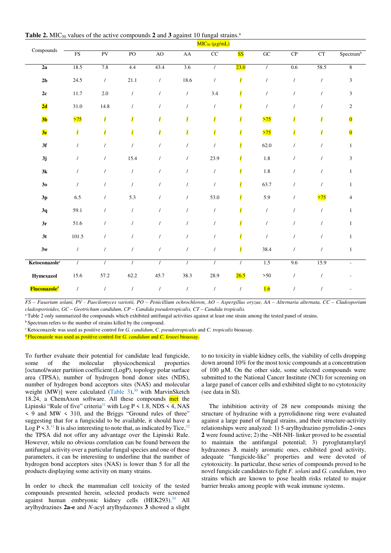**Table 2.** MIC<sub>50</sub> values of the active compounds 2 and 3 against 10 fungal strains. $^a$ 

|                           | $MIC50 (\mu g/mL)$       |                          |                |            |                          |                         |                          |            |            |                          |                          |
|---------------------------|--------------------------|--------------------------|----------------|------------|--------------------------|-------------------------|--------------------------|------------|------------|--------------------------|--------------------------|
| Compounds                 | $\overline{\mathrm{FS}}$ | PV                       | P <sub>O</sub> | AO         | ${\rm AA}$               | $\overline{\text{CC}}$  | <b>SS</b>                | GC         | ${\bf CP}$ | CT                       | Spectrum <sup>b</sup>    |
| 2a                        | 18.5                     | 7.8                      | 4.4            | 43.4       | 3.6                      | $\sqrt{ }$              | 23.0                     | $\sqrt{2}$ | 0.6        | 58.5                     | $8\overline{8}$          |
| 2 <sub>b</sub>            | 24.5                     | $\sqrt{ }$               | 21.1           | $\sqrt{2}$ | 18.6                     | $\prime$                | $\overline{\mathcal{L}}$ | $\prime$   | $\prime$   | $\sqrt{ }$               | $\mathfrak{Z}$           |
| $2\mathrm{c}$             | 11.7                     | 2.0                      | $\prime$       | $\prime$   | $\prime$                 | 3.4                     | $\overline{\phantom{a}}$ | $\prime$   |            | $\prime$                 | $\mathfrak{Z}$           |
| 2d                        | $31.0\,$                 | 14.8                     | $\overline{1}$ | $\prime$   | $\prime$                 | $\prime$                | $\overline{\mathbf{Z}}$  | $\prime$   |            | $\prime$                 | $\sqrt{2}$               |
| 3 <sub>b</sub>            | >75                      | $\overline{\mathcal{L}}$ |                |            | $\overline{\phantom{a}}$ | $\overline{\mathbf{Z}}$ | $\overline{\mathbf{I}}$  | >75        |            | $\overline{\phantom{a}}$ | $\overline{\mathbf{0}}$  |
| 3e                        | $\overline{\mathcal{L}}$ | $\overline{I}$           |                |            | $\overline{\phantom{a}}$ | $\overline{\mathbf{Z}}$ | $\overline{\mathcal{L}}$ | >75        |            | $\overline{ }$           | $\overline{\mathbf{0}}$  |
| 3f                        |                          | $\prime$                 | $\prime$       | $\prime$   | $\prime$                 | $\prime$                | $\overline{\prime}$      | 62.0       |            | $\prime$                 | $\mathbf{1}$             |
| 3j                        |                          | $\prime$                 | 15.4           | $\prime$   | $\prime$                 | 23.9                    | $\overline{\mathbf{I}}$  | $1.8\,$    | $\prime$   | $\prime$                 | $\mathfrak{Z}$           |
| 3k                        | $\prime$                 | $\prime$                 | $\prime$       | $\prime$   | $\prime$                 | $\sqrt{2}$              | $\overline{\mathcal{L}}$ | $1.8\,$    | $\prime$   | $\prime$                 | $\mathbf{1}$             |
| 3 <sub>0</sub>            | $\prime$                 | $\prime$                 | $\prime$       | $\prime$   | $\prime$                 | $\prime$                | $\overline{\prime}$      | 63.7       | $\prime$   | $\prime$                 | $\mathbf{1}$             |
| $3\mathrm{p}$             | 6.5                      | $\prime$                 | 5.3            | $\prime$   | $\prime$                 | 53.0                    | $\overline{\prime}$      | 5.9        | $\prime$   | >75                      | $\overline{4}$           |
| 3q                        | 59.1                     | $\prime$                 | $\prime$       | $\prime$   | $\prime$                 | $\prime$                | $\overline{\mathbf{Z}}$  | $\prime$   | $\prime$   | $\prime$                 | $\mathbf{1}$             |
| 3r                        | 51.6                     | $\prime$                 | $\prime$       | $\prime$   | $\prime$                 | $\prime$                | $\overline{\prime}$      | $\prime$   | $\prime$   | $\prime$                 | $\mathbf{1}$             |
| 3t                        | 101.5                    | $\prime$                 | $\prime$       | $\prime$   | $\prime$                 | $\prime$                | $\overline{\mathbf{Z}}$  | $\prime$   |            | $\prime$                 | $\mathbf{1}$             |
| 3w                        | $\prime$                 | $\prime$                 | $\prime$       | $\prime$   | $\overline{1}$           | $\overline{1}$          | $\overline{\mathbf{r}}$  | 38.4       |            |                          | $\mathbf{1}$             |
| Ketoconazole <sup>c</sup> | $\sqrt{ }$               | $\sqrt{ }$               | $\prime$       | $\sqrt{ }$ | $\sqrt{ }$               | $\sqrt{ }$              | $\sqrt{ }$               | 1.5        | 9.6        | 15.9                     | $\overline{\phantom{a}}$ |
| <b>Hymexazol</b>          | 15.6                     | 57.2                     | 62.2           | 45.7       | 38.3                     | 28.9                    | 26.5                     | $>50$      | $\prime$   | $\prime$                 |                          |
| Fluconazole <sup>d</sup>  | $\sqrt{2}$               | $\prime$                 | $\prime$       | $\prime$   | $\overline{1}$           | $\prime$                | $\prime$                 | 1.6        | $\prime$   |                          |                          |

*FS – Fusarium solani, PV - Paecilomyces variotii, PO – Penicillium ochrochloron, AO – Aspergillus oryzae, AA – Alternaria alternata, CC – Cladosporium cladosporioides, GC – Geotrichum candidum, CP – Candida pseudotropicalis, CT – Candida tropicalis.* 

<sup>a</sup> Table 2 only summarized the compounds which exhibited antifungal activities against at least one strain among the tested panel of strains.

<sup>b</sup> Spectrum refers to the number of strains killed by the compound.

<sup>c</sup> Ketoconazole was used as positive control for *G. candidum*, *C. pseudotropicalis* and *C. tropicalis* bioassay.

<sup>d</sup> Fluconazole was used as positive control for *G. candidum* and *C. krusei* bioassay.

To further evaluate their potential for candidate lead fungicide, some of the molecular physicochemical properties [octanol/water partition coefficient (LogP), topology polar surface area (TPSA), number of hydrogen bond donor sites (NDS), number of hydrogen bond acceptors sites (NAS) and molecular weight (MW)] were calculated (Table 3), $30$  with MarvinSketch 18.24, a ChemAxon software. All these compounds met the Lipinski "Rule of five" criteria<sup>31</sup> with Log  $P \le 1.8$ , NDS  $\le 4$ , NAS < 9 and MW < 310, and the Briggs "Ground rules of three" suggesting that for a fungicidal to be available, it should have a Log  $P \leq 3$ .<sup>31</sup> It is also interesting to note that, as indicated by Tice, <sup>32</sup> the TPSA did not offer any advantage over the Lipinski Rule. However, while no obvious correlation can be found between the antifungal activity over a particular fungal species and one of these parameters, it can be interesting to underline that the number of hydrogen bond acceptors sites (NAS) is lower than 5 for all the products displaying some activity on many strains.

In order to check the mammalian cell toxicity of the tested compounds presented herein, selected products were screened against human embryonic kidney cells (HEK293).<sup>34</sup> All arylhydrazines **2a-e** and *N*-acyl arylhydazones **3** showed a slight to no toxicity in viable kidney cells, the viability of cells dropping down around 10% for the most toxic compounds at a concentration of 100 µM. On the other side, some selected compounds were submitted to the National Cancer Institute (NCI) for screening on a large panel of cancer cells and exhibited slight to no cytotoxicity (see data in SI).

The inhibition activity of 28 new compounds mixing the structure of hydrazine with a pyrrolidinone ring were evaluated against a large panel of fungal strains, and their structure-activity relationships were analyzed: 1) 5-arylhydrazino pyrrolidin-2-ones **2** were found active; 2) the –NH-NH- linker proved to be essential to maintain the antifungal potential; 3) pyroglutamylaryl hydrazones **3**, mainly aromatic ones, exhibited good activity, adequate "fungicide-like" properties and were devoted of cytotoxicity. In particular, these series of compounds proved to be novel fungicide candidates to fight *F. solani* and *G. candidum*, two strains which are known to pose health risks related to major barrier breaks among people with weak immune systems.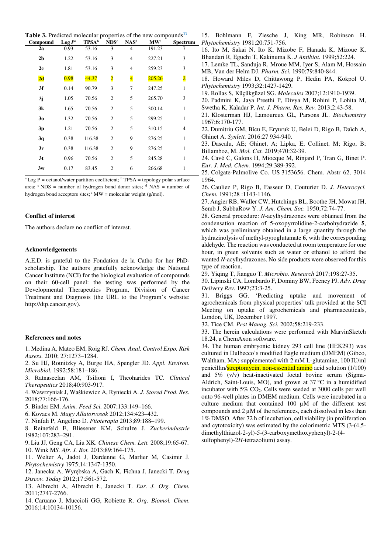**Table 3.** Predicted molecular properties of the new compounds<sup>33</sup>

| Compound       | $Log P^a$ | $TPSA^b$ | NDS <sup>c</sup>        | NAS <sup>d</sup>        | $\mathbf{M}\mathbf{W}^e$ | <b>Spectrum</b> |
|----------------|-----------|----------|-------------------------|-------------------------|--------------------------|-----------------|
| 2a             | 0.93      | 53.16    | 3                       | $\overline{4}$          | 191.23                   | 7               |
| 2 <sub>b</sub> | 1.22      | 53.16    | 3                       | $\overline{4}$          | 227.21                   | 3               |
| 2c             | 1.81      | 53.16    | 3                       | $\overline{4}$          | 259.23                   | 3               |
| 2d             | 0.98      | 44.37    | $\overline{\mathbf{2}}$ | $\overline{\mathbf{4}}$ | 205.26                   | $\overline{2}$  |
| 3f             | 0.14      | 90.79    | 3                       | 7                       | 247.25                   | 1               |
| 3j             | 1.05      | 70.56    | $\overline{2}$          | 5                       | 265.70                   | 3               |
| 3k             | 1.65      | 70.56    | $\overline{2}$          | 5                       | 300.14                   | 1               |
| 30             | 1.32      | 70.56    | $\mathfrak{2}$          | 5                       | 299.25                   | 1               |
| 3p             | 1.21      | 70.56    | $\overline{2}$          | 5                       | 310.15                   | $\overline{4}$  |
| 3q             | 0.38      | 116.38   | $\mathfrak{2}$          | 9                       | 276.25                   | 1               |
| 3r             | 0.38      | 116.38   | $\overline{2}$          | 9                       | 276.25                   | $\mathbf{1}$    |
| 3 <sub>t</sub> | 0.96      | 70.56    | $\mathfrak{2}$          | 5                       | 245.28                   | 1               |
| 3w             | 0.17      | 83.45    | $\overline{2}$          | 6                       | 266.68                   | 1               |

 ${}^{\text{a}}$  Log P = octanol/water partition coefficient;  ${}^{\text{b}}$  TPSA = topology polar surface area;  $\text{c}$  NDS = number of hydrogen bond donor sites;  $\text{d}$  NAS = number of hydrogen bond acceptors sites;  $\mathscr{C}$  MW = molecular weight (g/mol).

### **Conflict of interest**

The authors declare no conflict of interest.

### **Acknowledgements**

A.E.D. is grateful to the Fondation de la Catho for her PhDscholarship. The authors gratefully acknowledge the National Cancer Institute (NCI) for the biological evaluation of compounds on their 60-cell panel: the testing was performed by the Developmental Therapeutics Program, Division of Cancer Treatment and Diagnosis (the URL to the Program's website: http://dtp.cancer.gov).

### **References and notes**

- 1. Medina A, Mateo EM, Roig RJ. *Chem. Anal. Control Expo. Risk Assess.* 2010; 27:1273–1284.
- 2. Su HJ, Rotnitzky A, Burge HA, Spengler JD. *Appl. Environ. Microbiol.* 1992;58:181–186.

3. Ratnaseelan AM, Tsilioni I, Theoharides TC. *Clinical Therapeutics* 2018;40:903-917.

4. Wawrzyniak J, Waśkiewicz A, Ryniecki A. *J. Stored Prod. Res.* 2018;77:166-176.

- 5. Binder EM. *Anim. Feed Sci.* 2007;133:149–166.
- 6. Kovacs M. *Magy Allatorvosok* 2012;134:423–432.

7. Ninfali P, Angelino D. *Fitoterapia* 2013;89:188–199.

8. Reinefeld E, Bliesener KM, Schulze J. *Zuckerindustrie* 1982;107:283–291.

9. Liu JJ, Geng CA, Liu XK. *Chinese Chem. Lett.* 2008;19:65-67. 10. Wink M*S. Afr. J. Bot.* 2013;89:164-175.

11. Welter A, Jadot J, Dardenne G, Marlier M, Casimir J. *Phytochemistry* 1975;14:1347-1350.

12. Janecka A, Wyrębska A, Gach K, Fichna J, Janecki T. *Drug Discov. Today* 2012;17:561-572.

13. Albrecht A, Albrecht Ł, Janecki T. *Eur. J. Org. Chem.* 2011;2747-2766.

14. Caruano J, Muccioli GG, Robiette R. *Org. Biomol. Chem*. 2016;14:10134-10156.

15. Bohlmann F, Ziesche J, King MR, Robinson H. *Phytochemistry* 1981;20:751-756.

16. Ito M, Sakai N, Ito K, Mizobe F, Hanada K, Mizoue K, Bhandari R, Eguchi T, Kakinuma K. *J Antibiot.* 1999;52:224.

17. Lemke TL, Sanduja R, Mroue MM, Iyer S, Alam M, Hossain MB, Van der Helm DJ. *Pharm. Sci.* 1990;79:840-844.

18. Howard Miles D, Chittawong P, Hedin PA, Kokpol U. *Phytochemistry* 1993;32:1427-1429.

19. Rollas S, Küçükgüzel SG. *Molecules* 2007;12:1910-1939.

20. Padmini K, Jaya Preethi P, Divya M, Rohini P, Lohita M, Swetha K, Kaladar P. *Int. J. Pharm. Res. Rev.* 2013;2:43-58.

21. Klosterman HJ, Lamoureux GL, Parsons JL. *Biochemistry* 1967;6:170-177.

22. Dumitriu GM, Bîcu E, Eryuruk U, Belei D, Rigo B, Daïch A, Ghinet A. *Synlett.* 2016:27 934-940.

23. Dascalu, AE; Ghinet, A; Lipka, E; Collinet, M; Rigo, B; Billamboz, M. *Mol. Cat.* 2019;470:32-39.

24. Cavé C, Galons H, Miocque M, Rinjard P, Tran G, Binet P. *Eur. J. Med. Chem.* 1994;29:389-392.

25. Colgate-Palmolive Co. US 3153656. Chem. Abstr 62, 3014 1964.

26. Cauliez P, Rigo B, Fasseur D, Couturier D. *J. Heterocycl. Chem.* 1991;28 :1143-1146.

27.Angier RB, Waller CW, Hutchings BL, Boothe JH, Mowat JH, Semb J, SubbaRow Y. *J. Am. Chem. Soc.* 1950;72:74-77.

28. General procedure: *N*-acylhydrazones were obtained from the condensation reaction of 5-oxopyrrolidine-2-carbohydrazide **5**, which was preliminary obtained in a large quantity through the hydrazinolysis of methyl-pyroglutamate **6**, with the corresponding aldehyde. The reaction was conducted at room temperature for one hour, in green solvents such as water or ethanol to afford the wanted *N*-acylhydrazones. No side products were observed for this type of reaction.

29. Yiqing T, Jianguo T. *Microbio. Research* 2017;198:27-35.

30. Lipinski CA, Lombardo F, Dominy BW, Feeney PJ. *Adv. Drug Delivery Rev.* 1997;23:3-25.

31. Briggs GG. 'Predicting uptake and movement of agrochemicals from physical properties' talk provided at the SCI Meeting on uptake of agrochemicals and pharmaceuticals, London, UK, December 1997.

32. Tice CM. *Pest Manag. Sci.* 2002;58:219-233.

33. The herein calculations were performed with MarvinSketch 18.24, a ChemAxon software.

34. The human embryonic kidney 293 cell line (HEK293) was cultured in Dulbecco's modified Eagle medium (DMEM) (Gibco, Waltham, MA) supplemented with 2 mM L-glutamine, 100 IU/ml penicillin/streptomycin, non-essential amino acid solution (1/100) and 5% (v/v) heat-inactivated foetal bovine serum (Sigma-Aldrich, Saint-Louis, MO), and grown at 37 °C in a humidified incubator with 5% CO<sub>2</sub>. Cells were seeded at 3000 cells per well onto 96-well plates in DMEM medium. Cells were incubated in a culture medium that contained 100  $\mu$ M of the different test compounds and 2 µM of the references, each dissolved in less than 1% DMSO. After 72 h of incubation, cell viability (in proliferation and cytotoxicity) was estimated by the colorimetric MTS (3-(4,5 dimethylthiazol-2-yl)-5-(3-carboxymethoxyphenyl)-2-(4 sulfophenyl)-2*H*-tetrazolium) assay.